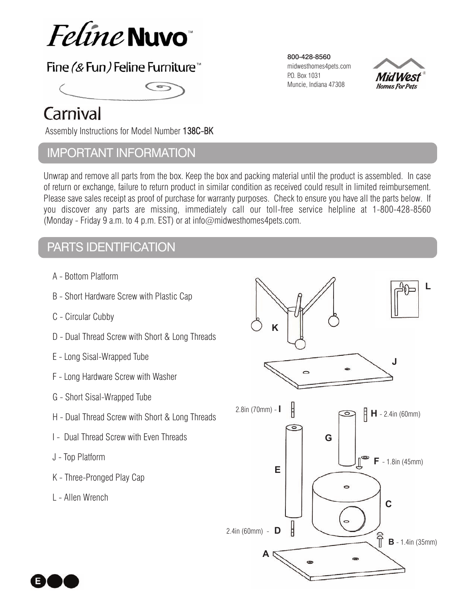# Feline Nuvo

#### Fine (& Fun) Feline Furniture™



# Carnival

Assembly Instructions for Model Number 138C-BK

#### ImPortant InformatIon

Unwrap and remove all parts from the box. Keep the box and packing material until the product is assembled. In case of return or exchange, failure to return product in similar condition as received could result in limited reimbursement. Please save sales receipt as proof of purchase for warranty purposes. Check to ensure you have all the parts below. If you discover any parts are missing, immediately call our toll-free service helpline at 1-800-428-8560 (Monday - Friday 9 a.m. to 4 p.m. EST) or at info@midwesthomes4pets.com.

#### PARTS IDENTIFICATION

- A Bottom Platform
- B Short Hardware Screw with Plastic Cap
- C Circular Cubby
- D Dual Thread Screw with Short & Long Threads
- E Long Sisal-Wrapped Tube
- F Long Hardware Screw with Washer
- G Short Sisal-Wrapped Tube
- H Dual Thread Screw with Short & Long Threads
- I Dual Thread Screw with Even Threads
- J Top Platform
- K Three-Pronged Play Cap
- L Allen Wrench





800-428-8560 midwesthomes4pets.com

P.O. Box 1031 Muncie, Indiana 47308

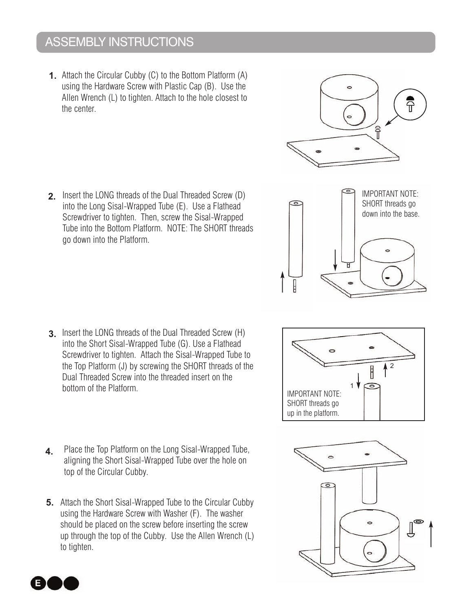## assembly InstructIons

**1.** Attach the Circular Cubby (C) to the Bottom Platform (A) using the Hardware Screw with Plastic Cap (B). Use the Allen Wrench (L) to tighten. Attach to the hole closest to the center.

**2.** Insert the LONG threads of the Dual Threaded Screw (D) into the Long Sisal-Wrapped Tube (E). Use a Flathead Screwdriver to tighten. Then, screw the Sisal-Wrapped Tube into the Bottom Platform. NOTE: The SHORT threads go down into the Platform.

- **3.** Insert the LONG threads of the Dual Threaded Screw (H) into the Short Sisal-Wrapped Tube (G). Use a Flathead Screwdriver to tighten. Attach the Sisal-Wrapped Tube to the Top Platform (J) by screwing the SHORT threads of the Dual Threaded Screw into the threaded insert on the bottom of the Platform.  $\blacksquare$
- **4.** Place the Top Platform on the Long Sisal-Wrapped Tube, aligning the Short Sisal-Wrapped Tube over the hole on top of the Circular Cubby.
- **5.** Attach the Short Sisal-Wrapped Tube to the Circular Cubby using the Hardware Screw with Washer (F). The washer should be placed on the screw before inserting the screw up through the top of the Cubby. Use the Allen Wrench (L) to tighten.









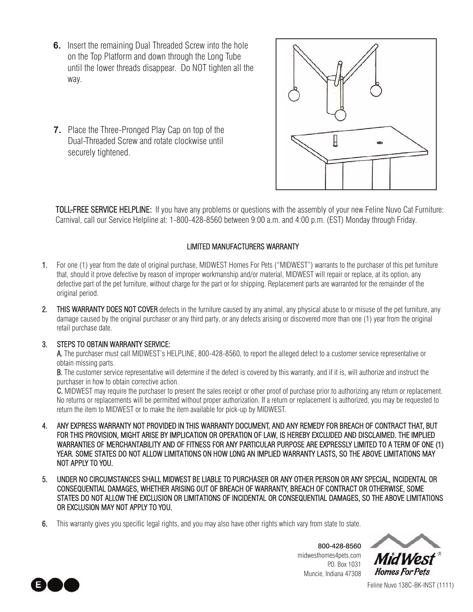- **6.** Insert the remaining Dual Threaded Screw into the hole on the Top Platform and down through the Long Tube until the lower threads disappear. Do NOT tighten all the way.
- **7.** Place the Three-Pronged Play Cap on top of the Dual-Threaded Screw and rotate clockwise until securely tightened.

TOLL-FREE SERVICE HELPLINE: If you have any problems or questions with the assembly of your new Feline Nuvo Cat Furniture: Carnival, call our Service Helpline at: 1-800-428-8560 between 9:00 a.m. and 4:00 p.m. (EST) Monday through Friday.

#### LIMITED MANUFACTURERS WARRANTY

- 1. For one (1) year from the date of original purchase, MIDWEST Homes For Pets ("MIDWEST") warrants to the purchaser of this pet furniture that, should it prove defective by reason of improper workmanship and/or material, MIDWEST will repair or replace, at its option, any defective part of the pet furniture, without charge for the part or for shipping. Replacement parts are warranted for the remainder of the original period.
- 2. THIS WARRANTY DOES NOT COVER defects in the furniture caused by any animal, any physical abuse to or misuse of the pet furniture, any damage caused by the original purchaser or any third party, or any defects arising or discovered more than one (1) year from the original retail purchase date.

#### 3. STEPS TO OBTAIN WARRANTY SERVICE:

A. The purchaser must call MIDWEST's HELPLINE, 800-428-8560, to report the alleged defect to a customer service representative or obtain missing parts.

B. The customer service representative will determine if the defect is covered by this warranty, and if it is, will authorize and instruct the purchaser in how to obtain corrective action.

C. MIDWEST may require the purchaser to present the sales receipt or other proof of purchase prior to authorizing any return or replacement. No returns or replacements will be permitted without proper authorization. If a return or replacement is authorized, you may be requested to return the item to MIDWEST or to make the item available for pick-up by MIDWEST.

- 4. ANY EXPRESS WARRANTY NOT PROVIDED IN THIS WARRANTY DOCUMENT, AND ANY REMEDY FOR BREACH OF CONTRACT THAT, BUT FOR THIS PROVISION, MIGHT ARISE BY IMPLICATION OR OPERATION OF LAW, IS HEREBY EXCLUDED AND DISCLAIMED. THE IMPLIED WARRANTIES OF MERCHANTABILITY AND OF FITNESS FOR ANY PARTICULAR PURPOSE ARE EXPRESSLY LIMITED TO A TERM OF ONE (1) YEAR. SOME STATES DO NOT ALLOW LIMITATIONS ON HOW LONG AN IMPLIED WARRANTY LASTS, SO THE ABOVE LIMITATIONS MAY NOT APPLY TO YOU.
- 5. UNDER NO CIRCUMSTANCES SHALL MIDWEST BE LIABLE TO PURCHASER OR ANY OTHER PERSON OR ANY SPECIAL, INCIDENTAL OR CONSEQUENTIAL DAMAGES, WHETHER ARISING OUT OF BREACH OF WARRANTY, BREACH OF CONTRACT OR OTHERWISE, SOME STATES DO NOT ALLOW THE EXCLUSION OR LIMITATIONS OF INCIDENTAL OR CONSEQUENTIAL DAMAGES, SO THE ABOVE LIMITATIONS OR EXCLUSION MAY NOT APPLY TO YOU.
- 6. This warranty gives you specific legal rights, and you may also have other rights which vary from state to state.

800-428-8560 midwesthomes4pets.com P.O. Box 1031 Muncie, Indiana 47308

H





Feline Nuvo 138C-BK-INST (1111)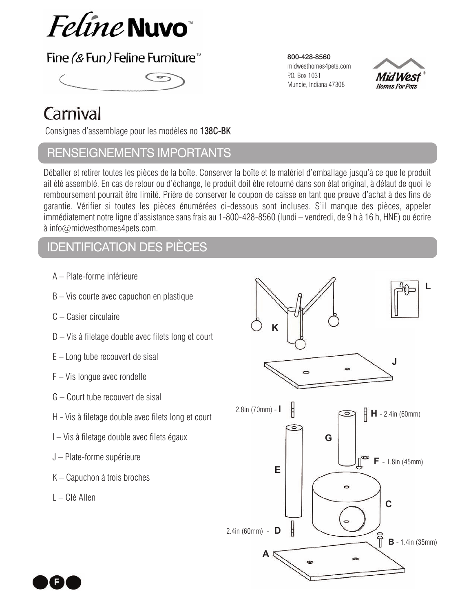

#### Fine (& Fun) Feline Furniture<sup>™</sup>



# Carnival

Consignes d'assemblage pour les modèles no 138C-BK

#### RENSEIGNEMENTS IMPORTANTS

Déballer et retirer toutes les pièces de la boîte. Conserver la boîte et le matériel d'emballage jusqu'à ce que le produit ait été assemblé. En cas de retour ou d'échange, le produit doit être retourné dans son état original, à défaut de quoi le remboursement pourrait être limité. Prière de conserver le coupon de caisse en tant que preuve d'achat à des fins de garantie. Vérifier si toutes les pièces énumérées ci-dessous sont incluses. S'il manque des pièces, appeler immédiatement notre ligne d'assistance sans frais au 1-800-428-8560 (lundi – vendredi, de 9 h à 16 h, HNE) ou écrire à info@midwesthomes4pets.com.

#### IdentIfIcatIon des pIèces

- A Plate-forme inférieure
- B Vis courte avec capuchon en plastique
- C Casier circulaire
- D Vis à filetage double avec filets long et court
- E Long tube recouvert de sisal
- F Vis longue avec rondelle
- G Court tube recouvert de sisal
- H Vis à filetage double avec filets long et court
- I Vis à filetage double avec filets égaux
- J Plate-forme supérieure
- K Capuchon à trois broches
- L Clé Allen





800-428-8560 midwesthomes4pets.com

P.O. Box 1031 Muncie, Indiana 47308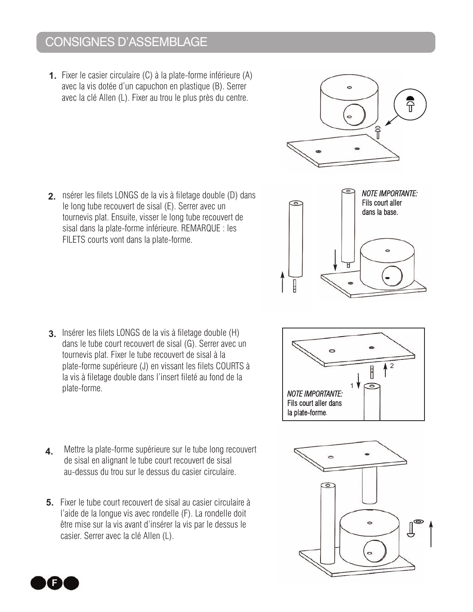# consIgnes d'assemblage

**1.** Fixer le casier circulaire (C) à la plate-forme inférieure (A) avec la vis dotée d'un capuchon en plastique (B). Serrer avec la clé Allen (L). Fixer au trou le plus près du centre.





**2.** nsérer les filets LONGS de la vis à filetage double (D) dans le long tube recouvert de sisal (E). Serrer avec un tournevis plat. Ensuite, visser le long tube recouvert de sisal dans la plate-forme inférieure. REMARQUE : les FILETS courts vont dans la plate-forme.

**3.** Insérer les filets LONGS de la vis à filetage double (H) dans le tube court recouvert de sisal (G). Serrer avec un tournevis plat. Fixer le tube recouvert de sisal à la plate-forme supérieure (J) en vissant les filets COURTS à la vis à filetage double dans l'insert fileté au fond de la plate-forme. *NOTE* IMPORTANTE:



- **4.** Mettre la plate-forme supérieure sur le tube long recouvert de sisal en alignant le tube court recouvert de sisal au-dessus du trou sur le dessus du casier circulaire.
- **5.** Fixer le tube court recouvert de sisal au casier circulaire à l'aide de la longue vis avec rondelle (F). La rondelle doit être mise sur la vis avant d'insérer la vis par le dessus le casier. Serrer avec la clé Allen (L).



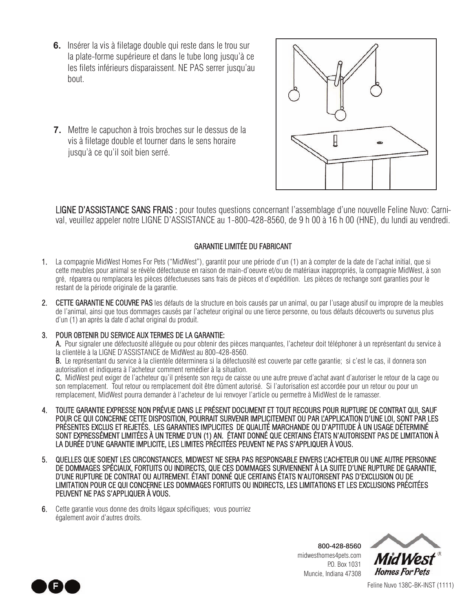- **6.** Insérer la vis à filetage double qui reste dans le trou sur la plate-forme supérieure et dans le tube long jusqu'à ce les filets inférieurs disparaissent. NE PAS serrer jusqu'au bout.
- **7.** Mettre le capuchon à trois broches sur le dessus de la vis à filetage double et tourner dans le sens horaire jusqu'à ce qu'il soit bien serré.

LIGNE D'ASSISTANCE SANS FRAIS : pour toutes questions concernant l'assemblage d'une nouvelle Feline Nuvo: Carnival, veuillez appeler notre LIGNE D'ASSISTANCE au 1-800-428-8560, de 9 h 00 à 16 h 00 (HNE), du lundi au vendredi.

#### GARANTIE LIMITÉE DU FABRICANT

- 1. La compagnie MidWest Homes For Pets ("MidWest"), garantit pour une période d'un (1) an à compter de la date de l'achat initial, que si cette meubles pour animal se révèle défectueuse en raison de main-d'oeuvre et/ou de matériaux inappropriés, la compagnie MidWest, à son gré, réparera ou remplacera les pièces défectueuses sans frais de pièces et d'expédition. Les pièces de rechange sont garanties pour le restant de la période originale de la garantie.
- 2. CETTE GARANTIE NE COUVRE PAS les défauts de la structure en bois causés par un animal, ou par l'usage abusif ou impropre de la meubles de l'animal, ainsi que tous dommages causés par l'acheteur original ou une tierce personne, ou tous défauts découverts ou survenus plus d'un (1) an après la date d'achat original du produit.

#### 3. POUR OBTENIR DU SERVICE AUX TERMES DE LA GARANTIE:

A. Pour signaler une défectuosité alléguée ou pour obtenir des pièces manquantes, l'acheteur doit téléphoner à un représentant du service à la clientèle à la LIGNE D'ASSISTANCE de MidWest au 800-428-8560.

B. Le représentant du service à la clientèle déterminera si la défectuosité est couverte par cette garantie; si c'est le cas, il donnera son autorisation et indiquera à l'acheteur comment remédier à la situation.

C. MidWest peut exiger de l'acheteur qu'il présente son reçu de caisse ou une autre preuve d'achat avant d'autoriser le retour de la cage ou son remplacement. Tout retour ou remplacement doit être dûment autorisé. Si l'autorisation est accordée pour un retour ou pour un remplacement, MidWest pourra demander à l'acheteur de lui renvoyer l'article ou permettre à MidWest de le ramasser.

- 4. TOUTE GARANTIE EXPRESSE NON PRÉVUE DANS LE PRÉSENT DOCUMENT ET TOUT RECOURS POUR RUPTURE DE CONTRAT QUI, SAUF POUR CE QUI CONCERNE CETTE DISPOSITION, POURRAIT SURVENIR IMPLICITEMENT OU PAR L'APPLICATION D'UNE LOI, SONT PAR LES PRÉSENTES EXCLUS ET REJETÉS. LES GARANTIES IMPLICITES DE QUALITÉ MARCHANDE OU D'APTITUDE À UN USAGE DÉTERMINÉ SONT EXPRESSÉMENT LIMITÉES À UN TERME D'UN (1) AN. ÉTANT DONNÉ QUE CERTAINS ÉTATS N'AUTORISENT PAS DE LIMITATION À LA DURÉE D'UNE GARANTIE IMPLICITE, LES LIMITES PRÉCITÉES PEUVENT NE PAS S'APPLIQUER À VOUS.
- 5. QUELLES QUE SOIENT LES CIRCONSTANCES, MIDWEST NE SERA PAS RESPONSABLE ENVERS L'ACHETEUR OU UNE AUTRE PERSONNE DE DOMMAGES SPÉCIAUX, FORTUITS OU INDIRECTS, QUE CES DOMMAGES SURVIENNENT À LA SUITE D'UNE RUPTURE DE GARANTIE, D'UNE RUPTURE DE CONTRAT OU AUTREMENT. ÉTANT DONNÉ QUE CERTAINS ÉTATS N'AUTORISENT PAS D'EXCLUSION OU DE LIMITATION POUR CE QUI CONCERNE LES DOMMAGES FORTUITS OU INDIRECTS, LES LIMITATIONS ET LES EXCLUSIONS PRÉCITÉES PEUVENT NE PAS S'APPLIQUER À VOUS.
- 6. Cette garantie vous donne des droits légaux spécifiques; vous pourriez également avoir d'autres droits.

800-428-8560 midwesthomes4pets.com P.O. Box 1031 Muncie, Indiana 47308



Feline Nuvo 138C-BK-INST (1111)

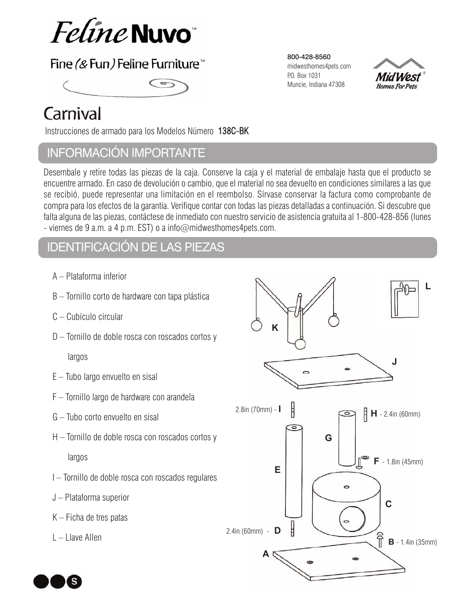# Feline Nuvo

## Fine (& Fun) Feline Furniture™



# Carnival

Instrucciones de armado para los Modelos Número 138C-BK

## InformacIón Importante

Desembale y retire todas las piezas de la caja. Conserve la caja y el material de embalaje hasta que el producto se encuentre armado. En caso de devolución o cambio, que el material no sea devuelto en condiciones similares a las que se recibió, puede representar una limitación en el reembolso. Sírvase conservar la factura como comprobante de compra para los efectos de la garantía. Verifique contar con todas las piezas detalladas a continuación. Si descubre que falta alguna de las piezas, contáctese de inmediato con nuestro servicio de asistencia gratuita al 1-800-428-856 (lunes - viernes de 9 a.m. a 4 p.m. EST) o a info $@$ midwesthomes4pets.com.

### IdentIfIcacIón de las pIezas

- A Plataforma inferior
- B Tornillo corto de hardware con tapa plástica
- C Cubículo circular
- D Tornillo de doble rosca con roscados cortos y

largos

- E Tubo largo envuelto en sisal
- F Tornillo largo de hardware con arandela
- G Tubo corto envuelto en sisal
- H Tornillo de doble rosca con roscados cortos y

largos

- I Tornillo de doble rosca con roscados regulares
- J Plataforma superior
- K Ficha de tres patas



Mid West **Homes For Pets** 

800-428-8560 midwesthomes4pets.com

P.O. Box 1031 Muncie, Indiana 47308

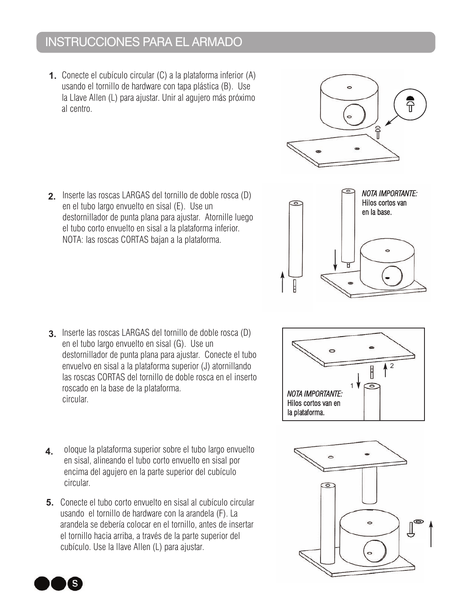#### InstruccIones para el armado

**1.** Conecte el cubículo circular (C) a la plataforma inferior (A) usando el tornillo de hardware con tapa plástica (B). Use la Llave Allen (L) para ajustar. Unir al agujero más próximo al centro.





**2.** Inserte las roscas LARGAS del tornillo de doble rosca (D) en el tubo largo envuelto en sisal (E). Use un destornillador de punta plana para ajustar. Atornille luego el tubo corto envuelto en sisal a la plataforma inferior. NOTA: las roscas CORTAS bajan a la plataforma.

**3.** Inserte las roscas LARGAS del tornillo de doble rosca (D) en el tubo largo envuelto en sisal (G). Use un destornillador de punta plana para ajustar. Conecte el tubo envuelvo en sisal a la plataforma superior (J) atornillando las roscas CORTAS del tornillo de doble rosca en el inserto roscado en la base de la plataforma. circular. *NOTA IMPORTANTE:*



- **4.** oloque la plataforma superior sobre el tubo largo envuelto en sisal, alineando el tubo corto envuelto en sisal por encima del agujero en la parte superior del cubículo circular.
- **5.** Conecte el tubo corto envuelto en sisal al cubículo circular usando el tornillo de hardware con la arandela (F). La arandela se debería colocar en el tornillo, antes de insertar el tornillo hacia arriba, a través de la parte superior del cubículo. Use la llave Allen (L) para ajustar.